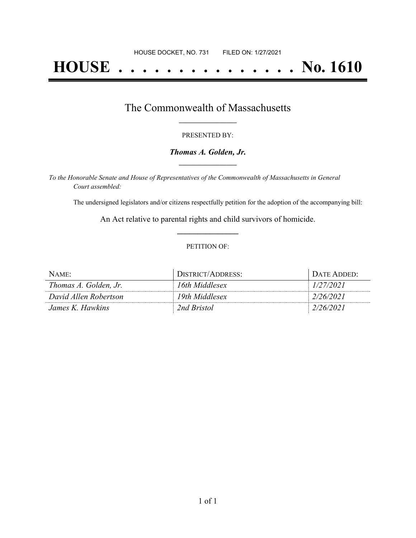# **HOUSE . . . . . . . . . . . . . . . No. 1610**

## The Commonwealth of Massachusetts **\_\_\_\_\_\_\_\_\_\_\_\_\_\_\_\_\_**

#### PRESENTED BY:

#### *Thomas A. Golden, Jr.* **\_\_\_\_\_\_\_\_\_\_\_\_\_\_\_\_\_**

*To the Honorable Senate and House of Representatives of the Commonwealth of Massachusetts in General Court assembled:*

The undersigned legislators and/or citizens respectfully petition for the adoption of the accompanying bill:

An Act relative to parental rights and child survivors of homicide. **\_\_\_\_\_\_\_\_\_\_\_\_\_\_\_**

#### PETITION OF:

| NAME:                 | DISTRICT/ADDRESS: | DATE ADDED: |
|-----------------------|-------------------|-------------|
| Thomas A. Golden, Jr. | 16th Middlesex    | 1/27/2021   |
| David Allen Robertson | 19th Middlesex    | 2/26/2021   |
| James K. Hawkins      | 2nd Bristol       | 2/26/2021   |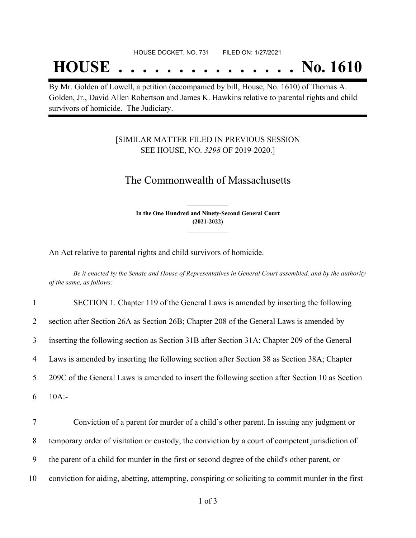#### HOUSE DOCKET, NO. 731 FILED ON: 1/27/2021

## **HOUSE . . . . . . . . . . . . . . . No. 1610**

By Mr. Golden of Lowell, a petition (accompanied by bill, House, No. 1610) of Thomas A. Golden, Jr., David Allen Robertson and James K. Hawkins relative to parental rights and child survivors of homicide. The Judiciary.

### [SIMILAR MATTER FILED IN PREVIOUS SESSION SEE HOUSE, NO. *3298* OF 2019-2020.]

## The Commonwealth of Massachusetts

**In the One Hundred and Ninety-Second General Court (2021-2022) \_\_\_\_\_\_\_\_\_\_\_\_\_\_\_**

**\_\_\_\_\_\_\_\_\_\_\_\_\_\_\_**

An Act relative to parental rights and child survivors of homicide.

Be it enacted by the Senate and House of Representatives in General Court assembled, and by the authority *of the same, as follows:*

| $\mathbf{1}$ | SECTION 1. Chapter 119 of the General Laws is amended by inserting the following                    |
|--------------|-----------------------------------------------------------------------------------------------------|
| 2            | section after Section 26A as Section 26B; Chapter 208 of the General Laws is amended by             |
| 3            | inserting the following section as Section 31B after Section 31A; Chapter 209 of the General        |
| 4            | Laws is amended by inserting the following section after Section 38 as Section 38A; Chapter         |
| 5            | 209C of the General Laws is amended to insert the following section after Section 10 as Section     |
| 6            | $10A$ :-                                                                                            |
| 7            | Conviction of a parent for murder of a child's other parent. In issuing any judgment or             |
| 8            | temporary order of visitation or custody, the conviction by a court of competent jurisdiction of    |
| 9            | the parent of a child for murder in the first or second degree of the child's other parent, or      |
| 10           | conviction for aiding, abetting, attempting, conspiring or soliciting to commit murder in the first |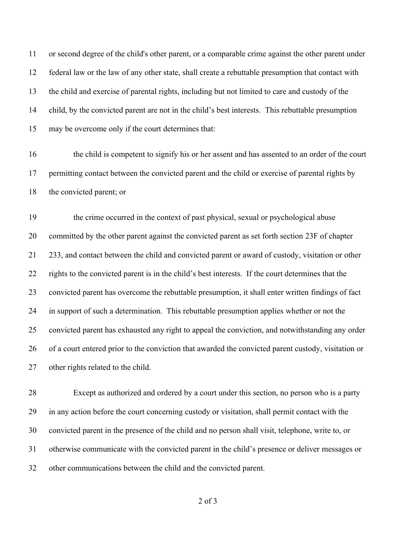or second degree of the child's other parent, or a comparable crime against the other parent under federal law or the law of any other state, shall create a rebuttable presumption that contact with the child and exercise of parental rights, including but not limited to care and custody of the child, by the convicted parent are not in the child's best interests. This rebuttable presumption may be overcome only if the court determines that:

 the child is competent to signify his or her assent and has assented to an order of the court permitting contact between the convicted parent and the child or exercise of parental rights by the convicted parent; or

 the crime occurred in the context of past physical, sexual or psychological abuse committed by the other parent against the convicted parent as set forth section 23F of chapter 233, and contact between the child and convicted parent or award of custody, visitation or other rights to the convicted parent is in the child's best interests. If the court determines that the convicted parent has overcome the rebuttable presumption, it shall enter written findings of fact in support of such a determination. This rebuttable presumption applies whether or not the convicted parent has exhausted any right to appeal the conviction, and notwithstanding any order of a court entered prior to the conviction that awarded the convicted parent custody, visitation or other rights related to the child.

 Except as authorized and ordered by a court under this section, no person who is a party in any action before the court concerning custody or visitation, shall permit contact with the convicted parent in the presence of the child and no person shall visit, telephone, write to, or otherwise communicate with the convicted parent in the child's presence or deliver messages or other communications between the child and the convicted parent.

of 3